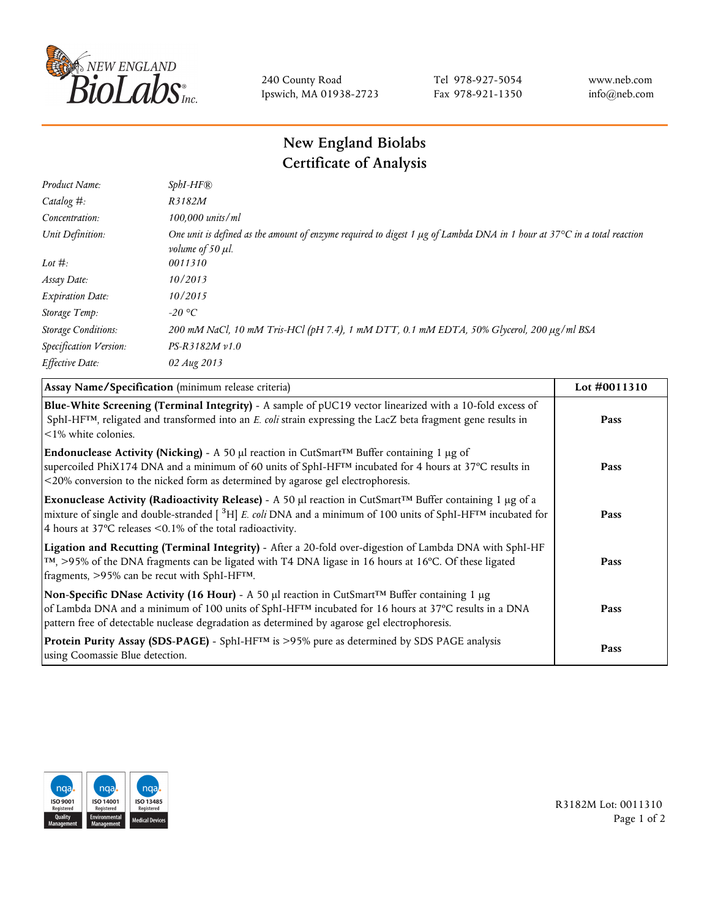

240 County Road Ipswich, MA 01938-2723 Tel 978-927-5054 Fax 978-921-1350 www.neb.com info@neb.com

## **New England Biolabs Certificate of Analysis**

| $SphI-HF$ $R$                                                                                                                                                          |
|------------------------------------------------------------------------------------------------------------------------------------------------------------------------|
| R3182M                                                                                                                                                                 |
| 100,000 units/ml                                                                                                                                                       |
| One unit is defined as the amount of enzyme required to digest 1 $\mu$ g of Lambda DNA in 1 hour at 37°C in a total reaction<br><i>volume of 50 <math>\mu</math>l.</i> |
| 0011310                                                                                                                                                                |
| 10/2013                                                                                                                                                                |
| 10/2015                                                                                                                                                                |
| -20 °C                                                                                                                                                                 |
| 200 mM NaCl, 10 mM Tris-HCl (pH 7.4), 1 mM DTT, 0.1 mM EDTA, 50% Glycerol, 200 µg/ml BSA                                                                               |
| $PS-R3182M \nu 1.0$                                                                                                                                                    |
| 02 Aug 2013                                                                                                                                                            |
|                                                                                                                                                                        |

| Assay Name/Specification (minimum release criteria)                                                                                                                                                                                                                                                                             | Lot #0011310 |
|---------------------------------------------------------------------------------------------------------------------------------------------------------------------------------------------------------------------------------------------------------------------------------------------------------------------------------|--------------|
| Blue-White Screening (Terminal Integrity) - A sample of pUC19 vector linearized with a 10-fold excess of<br>SphI-HF <sup>TM</sup> , religated and transformed into an E. coli strain expressing the LacZ beta fragment gene results in<br>$\leq$ 1% white colonies.                                                             | Pass         |
| <b>Endonuclease Activity (Nicking)</b> - A 50 µl reaction in CutSmart <sup>TM</sup> Buffer containing 1 µg of<br>supercoiled PhiX174 DNA and a minimum of 60 units of SphI-HF™ incubated for 4 hours at 37°C results in<br><20% conversion to the nicked form as determined by agarose gel electrophoresis.                     | Pass         |
| Exonuclease Activity (Radioactivity Release) - A 50 µl reaction in CutSmart™ Buffer containing 1 µg of a<br>mixture of single and double-stranded $[{}^{3}H]$ E. coli DNA and a minimum of 100 units of SphI-HF <sup>TM</sup> incubated for<br>4 hours at 37°C releases <0.1% of the total radioactivity.                       | Pass         |
| Ligation and Recutting (Terminal Integrity) - After a 20-fold over-digestion of Lambda DNA with SphI-HF<br>TM, >95% of the DNA fragments can be ligated with T4 DNA ligase in 16 hours at 16°C. Of these ligated<br>fragments, >95% can be recut with SphI-HFTM.                                                                | Pass         |
| Non-Specific DNase Activity (16 Hour) - A 50 µl reaction in CutSmart <sup>TM</sup> Buffer containing 1 µg<br>of Lambda DNA and a minimum of 100 units of SphI-HF <sup>TM</sup> incubated for 16 hours at 37°C results in a DNA<br>pattern free of detectable nuclease degradation as determined by agarose gel electrophoresis. | Pass         |
| Protein Purity Assay (SDS-PAGE) - SphI-HF™ is >95% pure as determined by SDS PAGE analysis<br>using Coomassie Blue detection.                                                                                                                                                                                                   | Pass         |



R3182M Lot: 0011310 Page 1 of 2